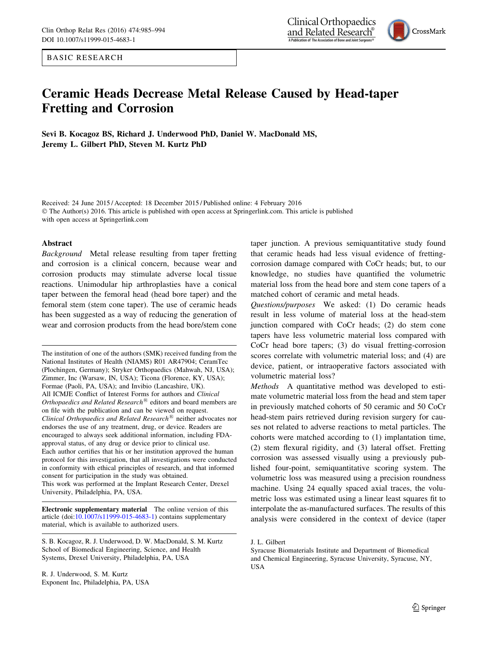BASIC RESEARCH

# Ceramic Heads Decrease Metal Release Caused by Head-taper Fretting and Corrosion

Sevi B. Kocagoz BS, Richard J. Underwood PhD, Daniel W. MacDonald MS, Jeremy L. Gilbert PhD, Steven M. Kurtz PhD

Received: 24 June 2015 / Accepted: 18 December 2015 / Published online: 4 February 2016 © The Author(s) 2016. This article is published with open access at Springerlink.com. This article is published with open access at Springerlink.com

#### Abstract

Background Metal release resulting from taper fretting and corrosion is a clinical concern, because wear and corrosion products may stimulate adverse local tissue reactions. Unimodular hip arthroplasties have a conical taper between the femoral head (head bore taper) and the femoral stem (stem cone taper). The use of ceramic heads has been suggested as a way of reducing the generation of wear and corrosion products from the head bore/stem cone

The institution of one of the authors (SMK) received funding from the National Institutes of Health (NIAMS) R01 AR47904; CeramTec (Plochingen, Germany); Stryker Orthopaedics (Mahwah, NJ, USA); Zimmer, Inc (Warsaw, IN, USA); Ticona (Florence, KY, USA); Formae (Paoli, PA, USA); and Invibio (Lancashire, UK). All ICMJE Conflict of Interest Forms for authors and Clinical Orthopaedics and Related Research<sup>®</sup> editors and board members are on file with the publication and can be viewed on request. Clinical Orthopaedics and Related Research<sup>®</sup> neither advocates nor endorses the use of any treatment, drug, or device. Readers are encouraged to always seek additional information, including FDAapproval status, of any drug or device prior to clinical use. Each author certifies that his or her institution approved the human protocol for this investigation, that all investigations were conducted in conformity with ethical principles of research, and that informed consent for participation in the study was obtained. This work was performed at the Implant Research Center, Drexel University, Philadelphia, PA, USA.

Electronic supplementary material The online version of this article (doi:[10.1007/s11999-015-4683-1\)](http://dx.doi.org/10.1007/s11999-015-4683-1) contains supplementary material, which is available to authorized users.

S. B. Kocagoz, R. J. Underwood, D. W. MacDonald, S. M. Kurtz School of Biomedical Engineering, Science, and Health Systems, Drexel University, Philadelphia, PA, USA

R. J. Underwood, S. M. Kurtz Exponent Inc, Philadelphia, PA, USA taper junction. A previous semiquantitative study found that ceramic heads had less visual evidence of frettingcorrosion damage compared with CoCr heads; but, to our knowledge, no studies have quantified the volumetric material loss from the head bore and stem cone tapers of a matched cohort of ceramic and metal heads.

Questions/purposes We asked: (1) Do ceramic heads result in less volume of material loss at the head-stem junction compared with CoCr heads; (2) do stem cone tapers have less volumetric material loss compared with CoCr head bore tapers; (3) do visual fretting-corrosion scores correlate with volumetric material loss; and (4) are device, patient, or intraoperative factors associated with volumetric material loss?

Methods A quantitative method was developed to estimate volumetric material loss from the head and stem taper in previously matched cohorts of 50 ceramic and 50 CoCr head-stem pairs retrieved during revision surgery for causes not related to adverse reactions to metal particles. The cohorts were matched according to (1) implantation time, (2) stem flexural rigidity, and (3) lateral offset. Fretting corrosion was assessed visually using a previously published four-point, semiquantitative scoring system. The volumetric loss was measured using a precision roundness machine. Using 24 equally spaced axial traces, the volumetric loss was estimated using a linear least squares fit to interpolate the as-manufactured surfaces. The results of this analysis were considered in the context of device (taper



J. L. Gilbert

Syracuse Biomaterials Institute and Department of Biomedical and Chemical Engineering, Syracuse University, Syracuse, NY, USA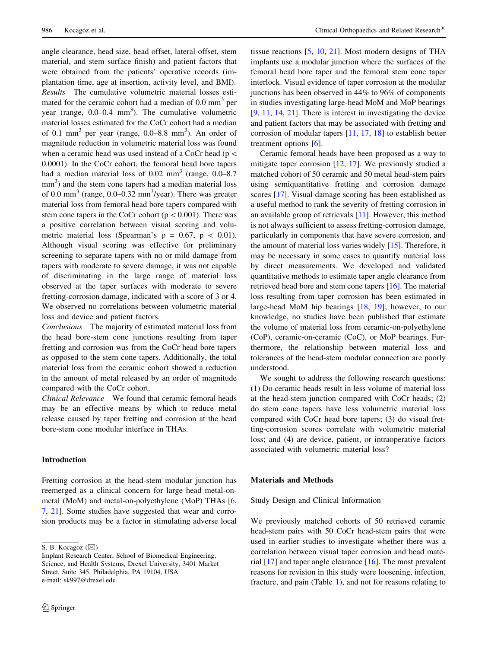angle clearance, head size, head offset, lateral offset, stem material, and stem surface finish) and patient factors that were obtained from the patients' operative records (implantation time, age at insertion, activity level, and BMI). Results The cumulative volumetric material losses estimated for the ceramic cohort had a median of  $0.0 \text{ mm}^3$  per year (range,  $0.0-0.4$  mm<sup>3</sup>). The cumulative volumetric material losses estimated for the CoCr cohort had a median of 0.1 mm<sup>3</sup> per year (range,  $0.0-8.8$  mm<sup>3</sup>). An order of magnitude reduction in volumetric material loss was found when a ceramic head was used instead of a CoCr head ( $p <$ 0.0001). In the CoCr cohort, the femoral head bore tapers had a median material loss of  $0.02 \text{ mm}^3$  (range,  $0.0-8.7$ ) mm<sup>3</sup>) and the stem cone tapers had a median material loss of 0.0 mm<sup>3</sup> (range, 0.0–0.32 mm<sup>3</sup>/year). There was greater material loss from femoral head bore tapers compared with stem cone tapers in the CoCr cohort ( $p < 0.001$ ). There was a positive correlation between visual scoring and volumetric material loss (Spearman's  $\rho = 0.67$ ,  $p \, 0.01$ ). Although visual scoring was effective for preliminary screening to separate tapers with no or mild damage from tapers with moderate to severe damage, it was not capable of discriminating in the large range of material loss observed at the taper surfaces with moderate to severe fretting-corrosion damage, indicated with a score of 3 or 4. We observed no correlations between volumetric material loss and device and patient factors.

Conclusions The majority of estimated material loss from the head bore-stem cone junctions resulting from taper fretting and corrosion was from the CoCr head bore tapers as opposed to the stem cone tapers. Additionally, the total material loss from the ceramic cohort showed a reduction in the amount of metal released by an order of magnitude compared with the CoCr cohort.

Clinical Relevance We found that ceramic femoral heads may be an effective means by which to reduce metal release caused by taper fretting and corrosion at the head bore-stem cone modular interface in THAs.

# Introduction

Fretting corrosion at the head-stem modular junction has reemerged as a clinical concern for large head metal-onmetal (MoM) and metal-on-polyethylene (MoP) THAs [[6,](#page-9-0) [7](#page-9-0), [21](#page-9-0)]. Some studies have suggested that wear and corrosion products may be a factor in stimulating adverse local

tissue reactions [\[5](#page-9-0), [10](#page-9-0), [21\]](#page-9-0). Most modern designs of THA implants use a modular junction where the surfaces of the femoral head bore taper and the femoral stem cone taper interlock. Visual evidence of taper corrosion at the modular junctions has been observed in 44% to 96% of components in studies investigating large-head MoM and MoP bearings [\[9](#page-9-0), [11,](#page-9-0) [14](#page-9-0), [21\]](#page-9-0). There is interest in investigating the device and patient factors that may be associated with fretting and corrosion of modular tapers [[11](#page-9-0), [17,](#page-9-0) [18](#page-9-0)] to establish better treatment options [\[6](#page-9-0)].

Ceramic femoral heads have been proposed as a way to mitigate taper corrosion [\[12](#page-9-0), [17\]](#page-9-0). We previously studied a matched cohort of 50 ceramic and 50 metal head-stem pairs using semiquantitative fretting and corrosion damage scores [\[17](#page-9-0)]. Visual damage scoring has been established as a useful method to rank the severity of fretting corrosion in an available group of retrievals [\[11](#page-9-0)]. However, this method is not always sufficient to assess fretting-corrosion damage, particularly in components that have severe corrosion, and the amount of material loss varies widely [\[15](#page-9-0)]. Therefore, it may be necessary in some cases to quantify material loss by direct measurements. We developed and validated quantitative methods to estimate taper angle clearance from retrieved head bore and stem cone tapers [[16](#page-9-0)]. The material loss resulting from taper corrosion has been estimated in large-head MoM hip bearings [\[18](#page-9-0), [19](#page-9-0)]; however, to our knowledge, no studies have been published that estimate the volume of material loss from ceramic-on-polyethylene (CoP), ceramic-on-ceramic (CoC), or MoP bearings. Furthermore, the relationship between material loss and tolerances of the head-stem modular connection are poorly understood.

We sought to address the following research questions: (1) Do ceramic heads result in less volume of material loss at the head-stem junction compared with CoCr heads; (2) do stem cone tapers have less volumetric material loss compared with CoCr head bore tapers; (3) do visual fretting-corrosion scores correlate with volumetric material loss; and (4) are device, patient, or intraoperative factors associated with volumetric material loss?

# Materials and Methods

Study Design and Clinical Information

We previously matched cohorts of 50 retrieved ceramic head-stem pairs with 50 CoCr head-stem pairs that were used in earlier studies to investigate whether there was a correlation between visual taper corrosion and head material [\[17](#page-9-0)] and taper angle clearance [[16\]](#page-9-0). The most prevalent reasons for revision in this study were loosening, infection, fracture, and pain (Table [1](#page-2-0)), and not for reasons relating to

S. B. Kocagoz ( $\boxtimes$ )

Implant Research Center, School of Biomedical Engineering, Science, and Health Systems, Drexel University, 3401 Market Street, Suite 345, Philadelphia, PA 19104, USA e-mail: sk997@drexel.edu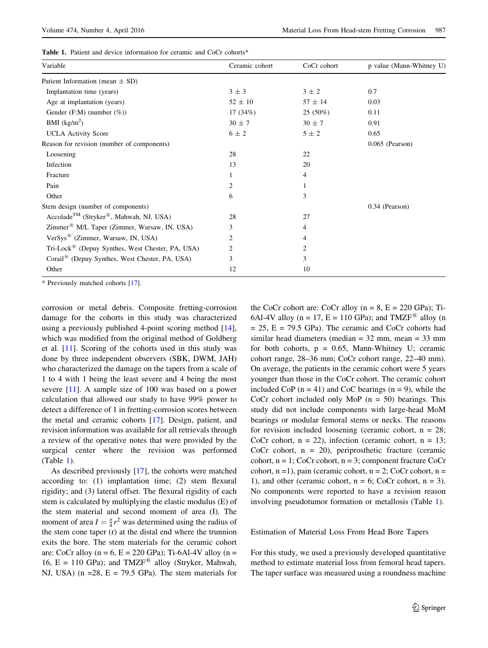<span id="page-2-0"></span>

| <b>Table 1.</b> Patient and device information for ceramic and CoCr cohorts* |  |
|------------------------------------------------------------------------------|--|
|------------------------------------------------------------------------------|--|

| Variable                                                        | Ceramic cohort    | CoCr cohort    | p value (Mann-Whitney U) |
|-----------------------------------------------------------------|-------------------|----------------|--------------------------|
| Patient Information (mean $\pm$ SD)                             |                   |                |                          |
| Implantation time (years)                                       | $3 \pm 3$         | $3 \pm 2$      | 0.7                      |
| Age at implantation (years)                                     | $52 \pm 10$       | $57 \pm 14$    | 0.03                     |
| Gender (F:M) (number $(\%)$ )                                   | 17 $(34%)$        | $25(50\%)$     | 0.11                     |
| BMI $(kg/m2)$                                                   | $30 \pm 7$        | $30 \pm 7$     | 0.91                     |
| <b>UCLA</b> Activity Score                                      | $6 \pm 2$         | $5 \pm 2$      | 0.65                     |
| Reason for revision (number of components)                      | $0.065$ (Pearson) |                |                          |
| Loosening                                                       | 28                | 22             |                          |
| Infection                                                       | 13                | 20             |                          |
| Fracture                                                        |                   | 4              |                          |
| Pain                                                            | 2                 | 1              |                          |
| Other                                                           | 6                 | 3              |                          |
| Stem design (number of components)                              |                   | 0.34 (Pearson) |                          |
| Accolade <sup>TM</sup> (Stryker <sup>®</sup> , Mahwah, NJ, USA) | 28                | 27             |                          |
| Zimmer <sup>®</sup> M/L Taper (Zimmer, Warsaw, IN, USA)         | 3                 | 4              |                          |
| VerSys <sup>®</sup> (Zimmer, Warsaw, IN, USA)                   | 2                 | 4              |                          |
| Tri-Lock <sup>(8)</sup> (Depuy Synthes, West Chester, PA, USA)  | 2                 | 2              |                          |
| Corail <sup>®</sup> (Depuy Synthes, West Chester, PA, USA)      | 3                 | 3              |                          |
| Other                                                           | 12                | 10             |                          |

\* Previously matched cohorts [\[17\]](#page-9-0).

corrosion or metal debris. Composite fretting-corrosion damage for the cohorts in this study was characterized using a previously published 4-point scoring method [\[14](#page-9-0)], which was modified from the original method of Goldberg et al. [\[11](#page-9-0)]. Scoring of the cohorts used in this study was done by three independent observers (SBK, DWM, JAH) who characterized the damage on the tapers from a scale of 1 to 4 with 1 being the least severe and 4 being the most severe [[11\]](#page-9-0). A sample size of 100 was based on a power calculation that allowed our study to have 99% power to detect a difference of 1 in fretting-corrosion scores between the metal and ceramic cohorts [[17\]](#page-9-0). Design, patient, and revision information was available for all retrievals through a review of the operative notes that were provided by the surgical center where the revision was performed (Table 1).

As described previously [\[17](#page-9-0)], the cohorts were matched according to: (1) implantation time; (2) stem flexural rigidity; and (3) lateral offset. The flexural rigidity of each stem is calculated by multiplying the elastic modulus (E) of the stem material and second moment of area (I). The moment of area  $I = \frac{\pi}{4}r^2$  was determined using the radius of the stem cone taper (r) at the distal end where the trunnion exits the bore. The stem materials for the ceramic cohort are: CoCr alloy ( $n = 6$ ,  $E = 220$  GPa); Ti-6Al-4V alloy ( $n =$ 16,  $E = 110$  GPa); and TMZF<sup>®</sup> alloy (Stryker, Mahwah, NJ, USA) ( $n = 28$ ,  $E = 79.5$  GPa). The stem materials for the CoCr cohort are: CoCr alloy  $(n = 8, E = 220 \text{ GPa})$ ; Ti-6Al-4V alloy ( $n = 17$ ,  $E = 110$  GPa); and TMZF<sup>®</sup> alloy (n  $= 25$ ,  $E = 79.5$  GPa). The ceramic and CoCr cohorts had similar head diameters (median = 32 mm, mean = 33 mm for both cohorts,  $p = 0.65$ , Mann-Whitney U; ceramic cohort range, 28–36 mm; CoCr cohort range, 22–40 mm). On average, the patients in the ceramic cohort were 5 years younger than those in the CoCr cohort. The ceramic cohort included CoP  $(n = 41)$  and CoC bearings  $(n = 9)$ , while the CoCr cohort included only MoP  $(n = 50)$  bearings. This study did not include components with large-head MoM bearings or modular femoral stems or necks. The reasons for revision included loosening (ceramic cohort,  $n = 28$ ; CoCr cohort,  $n = 22$ ), infection (ceramic cohort,  $n = 13$ ; CoCr cohort,  $n = 20$ ), periprosthetic fracture (ceramic cohort,  $n = 1$ ; CoCr cohort,  $n = 3$ ; component fracture CoCr cohort,  $n = 1$ ), pain (ceramic cohort,  $n = 2$ ; CoCr cohort,  $n = 1$ ) 1), and other (ceramic cohort,  $n = 6$ ; CoCr cohort,  $n = 3$ ). No components were reported to have a revision reason involving pseudotumor formation or metallosis (Table 1).

### Estimation of Material Loss From Head Bore Tapers

For this study, we used a previously developed quantitative method to estimate material loss from femoral head tapers. The taper surface was measured using a roundness machine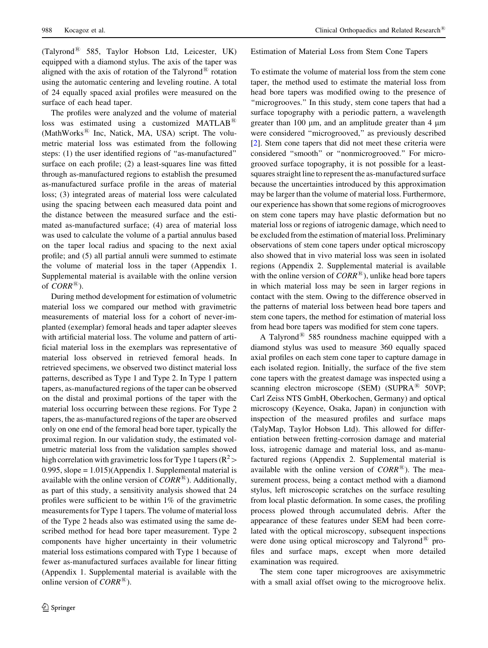$(Talvroad^{\circledR}$  585, Taylor Hobson Ltd, Leicester, UK) equipped with a diamond stylus. The axis of the taper was aligned with the axis of rotation of the Talyrond<sup>®</sup> rotation using the automatic centering and leveling routine. A total of 24 equally spaced axial profiles were measured on the surface of each head taper.

The profiles were analyzed and the volume of material loss was estimated using a customized MATLAB<sup>®</sup> (MathWorks $^{\circledR}$  Inc, Natick, MA, USA) script. The volumetric material loss was estimated from the following steps: (1) the user identified regions of ''as-manufactured'' surface on each profile; (2) a least-squares line was fitted through as-manufactured regions to establish the presumed as-manufactured surface profile in the areas of material loss; (3) integrated areas of material loss were calculated using the spacing between each measured data point and the distance between the measured surface and the estimated as-manufactured surface; (4) area of material loss was used to calculate the volume of a partial annulus based on the taper local radius and spacing to the next axial profile; and (5) all partial annuli were summed to estimate the volume of material loss in the taper (Appendix 1. Supplemental material is available with the online version of  $CORR^{\circledR})$ .

During method development for estimation of volumetric material loss we compared our method with gravimetric measurements of material loss for a cohort of never-implanted (exemplar) femoral heads and taper adapter sleeves with artificial material loss. The volume and pattern of artificial material loss in the exemplars was representative of material loss observed in retrieved femoral heads. In retrieved specimens, we observed two distinct material loss patterns, described as Type 1 and Type 2. In Type 1 pattern tapers, as-manufactured regions of the taper can be observed on the distal and proximal portions of the taper with the material loss occurring between these regions. For Type 2 tapers, the as-manufactured regions of the taper are observed only on one end of the femoral head bore taper, typically the proximal region. In our validation study, the estimated volumetric material loss from the validation samples showed high correlation with gravimetric loss for Type 1 tapers ( $\mathbb{R}^2$  > 0.995, slope = 1.015)(Appendix 1. Supplemental material is available with the online version of  $CORR^{\mathcal{B}}$ ). Additionally, as part of this study, a sensitivity analysis showed that 24 profiles were sufficient to be within 1% of the gravimetric measurements for Type 1 tapers. The volume of material loss of the Type 2 heads also was estimated using the same described method for head bore taper measurement. Type 2 components have higher uncertainty in their volumetric material loss estimations compared with Type 1 because of fewer as-manufactured surfaces available for linear fitting (Appendix 1. Supplemental material is available with the online version of  $CORR^{\circledR})$ .

Estimation of Material Loss from Stem Cone Tapers

To estimate the volume of material loss from the stem cone taper, the method used to estimate the material loss from head bore tapers was modified owing to the presence of "microgrooves." In this study, stem cone tapers that had a surface topography with a periodic pattern, a wavelength greater than 100  $\mu$ m, and an amplitude greater than 4  $\mu$ m were considered ''microgrooved,'' as previously described [\[2](#page-8-0)]. Stem cone tapers that did not meet these criteria were considered ''smooth'' or ''nonmicrogrooved.'' For microgrooved surface topography, it is not possible for a leastsquares straight line to represent the as-manufactured surface because the uncertainties introduced by this approximation may be larger than the volume of material loss. Furthermore, our experience has shown that some regions of microgrooves on stem cone tapers may have plastic deformation but no material loss or regions of iatrogenic damage, which need to be excluded from the estimation of material loss. Preliminary observations of stem cone tapers under optical microscopy also showed that in vivo material loss was seen in isolated regions (Appendix 2. Supplemental material is available with the online version of  $CORR^{\textcircled{B}}$ ), unlike head bore tapers in which material loss may be seen in larger regions in contact with the stem. Owing to the difference observed in the patterns of material loss between head bore tapers and stem cone tapers, the method for estimation of material loss from head bore tapers was modified for stem cone tapers.

A Talyrond<sup>®</sup> 585 roundness machine equipped with a diamond stylus was used to measure 360 equally spaced axial profiles on each stem cone taper to capture damage in each isolated region. Initially, the surface of the five stem cone tapers with the greatest damage was inspected using a scanning electron microscope (SEM) (SUPRA $^{(8)}$  50VP; Carl Zeiss NTS GmbH, Oberkochen, Germany) and optical microscopy (Keyence, Osaka, Japan) in conjunction with inspection of the measured profiles and surface maps (TalyMap, Taylor Hobson Ltd). This allowed for differentiation between fretting-corrosion damage and material loss, iatrogenic damage and material loss, and as-manufactured regions (Appendix 2. Supplemental material is available with the online version of  $CORR^{\circledR}$ ). The measurement process, being a contact method with a diamond stylus, left microscopic scratches on the surface resulting from local plastic deformation. In some cases, the profiling process plowed through accumulated debris. After the appearance of these features under SEM had been correlated with the optical microscopy, subsequent inspections were done using optical microscopy and Talyrond<sup>®</sup> profiles and surface maps, except when more detailed examination was required.

The stem cone taper microgrooves are axisymmetric with a small axial offset owing to the microgroove helix.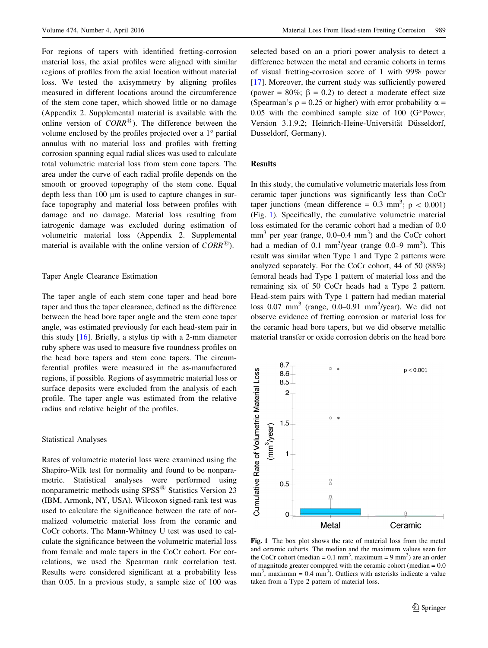For regions of tapers with identified fretting-corrosion material loss, the axial profiles were aligned with similar regions of profiles from the axial location without material loss. We tested the axisymmetry by aligning profiles measured in different locations around the circumference of the stem cone taper, which showed little or no damage (Appendix 2. Supplemental material is available with the online version of  $CORR^{\times}$ ). The difference between the volume enclosed by the profiles projected over a  $1^\circ$  partial annulus with no material loss and profiles with fretting corrosion spanning equal radial slices was used to calculate total volumetric material loss from stem cone tapers. The area under the curve of each radial profile depends on the smooth or grooved topography of the stem cone. Equal depth less than 100  $\mu$ m is used to capture changes in surface topography and material loss between profiles with damage and no damage. Material loss resulting from iatrogenic damage was excluded during estimation of volumetric material loss (Appendix 2. Supplemental material is available with the online version of  $CORR^{\circledR}$ ).

## Taper Angle Clearance Estimation

The taper angle of each stem cone taper and head bore taper and thus the taper clearance, defined as the difference between the head bore taper angle and the stem cone taper angle, was estimated previously for each head-stem pair in this study [\[16\]](#page-9-0). Briefly, a stylus tip with a 2-mm diameter ruby sphere was used to measure five roundness profiles on the head bore tapers and stem cone tapers. The circumferential profiles were measured in the as-manufactured regions, if possible. Regions of asymmetric material loss or surface deposits were excluded from the analysis of each profile. The taper angle was estimated from the relative radius and relative height of the profiles.

### Statistical Analyses

Rates of volumetric material loss were examined using the Shapiro-Wilk test for normality and found to be nonparametric. Statistical analyses were performed using nonparametric methods using  $SPSS^{\circledR}$  Statistics Version 23 (IBM, Armonk, NY, USA). Wilcoxon signed-rank test was used to calculate the significance between the rate of normalized volumetric material loss from the ceramic and CoCr cohorts. The Mann-Whitney U test was used to calculate the significance between the volumetric material loss from female and male tapers in the CoCr cohort. For correlations, we used the Spearman rank correlation test. Results were considered significant at a probability less than 0.05. In a previous study, a sample size of 100 was selected based on an a priori power analysis to detect a difference between the metal and ceramic cohorts in terms of visual fretting-corrosion score of 1 with 99% power [\[17](#page-9-0)]. Moreover, the current study was sufficiently powered (power =  $80\%$ ;  $\beta = 0.2$ ) to detect a moderate effect size (Spearman's  $\rho = 0.25$  or higher) with error probability  $\alpha =$ 0.05 with the combined sample size of 100 (G\*Power, Version 3.1.9.2; Heinrich-Heine-Universität Düsseldorf, Dusseldorf, Germany).

### **Results**

In this study, the cumulative volumetric materials loss from ceramic taper junctions was significantly less than CoCr taper junctions (mean difference =  $0.3 \text{ mm}^3$ ; p <  $0.001$ ) (Fig. 1). Specifically, the cumulative volumetric material loss estimated for the ceramic cohort had a median of 0.0  $mm<sup>3</sup>$  per year (range, 0.0–0.4  $mm<sup>3</sup>$ ) and the CoCr cohort had a median of  $0.1 \text{ mm}^3$ /year (range  $0.0-9 \text{ mm}^3$ ). This result was similar when Type 1 and Type 2 patterns were analyzed separately. For the CoCr cohort, 44 of 50 (88%) femoral heads had Type 1 pattern of material loss and the remaining six of 50 CoCr heads had a Type 2 pattern. Head-stem pairs with Type 1 pattern had median material loss  $0.07$  mm<sup>3</sup> (range,  $0.0-0.91$  mm<sup>3</sup>/year). We did not observe evidence of fretting corrosion or material loss for the ceramic head bore tapers, but we did observe metallic material transfer or oxide corrosion debris on the head bore



Fig. 1 The box plot shows the rate of material loss from the metal and ceramic cohorts. The median and the maximum values seen for the CoCr cohort (median =  $0.1 \text{ mm}^3$ , maximum =  $9 \text{ mm}^3$ ) are an order of magnitude greater compared with the ceramic cohort (median  $= 0.0$ )  $mm<sup>3</sup>$ , maximum = 0.4  $mm<sup>3</sup>$ ). Outliers with asterisks indicate a value taken from a Type 2 pattern of material loss.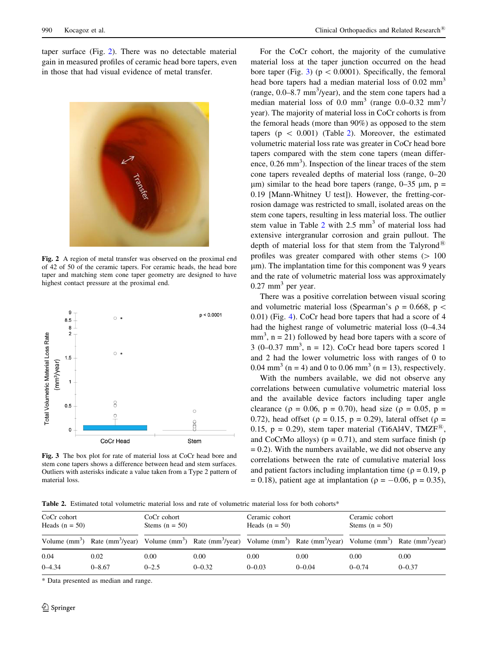taper surface (Fig. 2). There was no detectable material gain in measured profiles of ceramic head bore tapers, even in those that had visual evidence of metal transfer.



Fig. 2 A region of metal transfer was observed on the proximal end of 42 of 50 of the ceramic tapers. For ceramic heads, the head bore taper and matching stem cone taper geometry are designed to have highest contact pressure at the proximal end.



Fig. 3 The box plot for rate of material loss at CoCr head bore and stem cone tapers shows a difference between head and stem surfaces. Outliers with asterisks indicate a value taken from a Type 2 pattern of material loss.

For the CoCr cohort, the majority of the cumulative material loss at the taper junction occurred on the head bore taper (Fig. 3) ( $p < 0.0001$ ). Specifically, the femoral head bore tapers had a median material loss of 0.02 mm<sup>3</sup> (range, 0.0–8.7 mm<sup>3</sup>/year), and the stem cone tapers had a median material loss of 0.0 mm<sup>3</sup> (range  $0.0-0.32$  mm<sup>3</sup>/ year). The majority of material loss in CoCr cohorts is from the femoral heads (more than 90%) as opposed to the stem tapers ( $p \, < 0.001$ ) (Table 2). Moreover, the estimated volumetric material loss rate was greater in CoCr head bore tapers compared with the stem cone tapers (mean difference, 0.26 mm<sup>3</sup>). Inspection of the linear traces of the stem cone tapers revealed depths of material loss (range, 0–20  $\mu$ m) similar to the head bore tapers (range, 0–35  $\mu$ m, p = 0.19 [Mann-Whitney U test]). However, the fretting-corrosion damage was restricted to small, isolated areas on the stem cone tapers, resulting in less material loss. The outlier stem value in Table  $2$  with  $2.5$  mm<sup>3</sup> of material loss had extensive intergranular corrosion and grain pullout. The depth of material loss for that stem from the Talyrond<sup>®</sup> profiles was greater compared with other stems  $( > 100$ um). The implantation time for this component was 9 years and the rate of volumetric material loss was approximately  $0.27$  mm<sup>3</sup> per year.

There was a positive correlation between visual scoring and volumetric material loss (Spearman's  $\rho = 0.668$ ,  $p <$ 0.01) (Fig. [4](#page-6-0)). CoCr head bore tapers that had a score of 4 had the highest range of volumetric material loss (0–4.34  $mm<sup>3</sup>$ ,  $n = 21$ ) followed by head bore tapers with a score of  $3$  (0–0.37 mm<sup>3</sup>, n = 12). CoCr head bore tapers scored 1 and 2 had the lower volumetric loss with ranges of 0 to 0.04 mm<sup>3</sup> (n = 4) and 0 to 0.06 mm<sup>3</sup> (n = 13), respectively.

With the numbers available, we did not observe any correlations between cumulative volumetric material loss and the available device factors including taper angle clearance ( $\rho = 0.06$ ,  $p = 0.70$ ), head size ( $\rho = 0.05$ ,  $p =$ 0.72), head offset ( $\rho = 0.15$ ,  $p = 0.29$ ), lateral offset ( $\rho =$ 0.15,  $p = 0.29$ ), stem taper material (Ti6Al4V, TMZF<sup>®</sup>, and CoCrMo alloys) ( $p = 0.71$ ), and stem surface finish ( $p = 0.71$ )  $= 0.2$ ). With the numbers available, we did not observe any correlations between the rate of cumulative material loss and patient factors including implantation time ( $\rho = 0.19$ , p  $= 0.18$ ), patient age at implantation ( $\rho = -0.06$ ,  $p = 0.35$ ),

Table 2. Estimated total volumetric material loss and rate of volumetric material loss for both cohorts\*

| CoCr cohort<br>Heads $(n = 50)$ |                                                                                                                                                                                                                             | CoCr cohort<br>Stems $(n = 50)$ |            | Ceramic cohort<br>Heads $(n = 50)$ |            | Ceramic cohort<br>Stems $(n = 50)$ |            |
|---------------------------------|-----------------------------------------------------------------------------------------------------------------------------------------------------------------------------------------------------------------------------|---------------------------------|------------|------------------------------------|------------|------------------------------------|------------|
|                                 | Volume (mm <sup>3</sup> ) Rate (mm <sup>3</sup> /year) Volume (mm <sup>3</sup> ) Rate (mm <sup>3</sup> /year) Volume (mm <sup>3</sup> ) Rate (mm <sup>3</sup> /year) Volume (mm <sup>3</sup> ) Rate (mm <sup>3</sup> /year) |                                 |            |                                    |            |                                    |            |
| 0.04                            | 0.02                                                                                                                                                                                                                        | 0.00                            | 0.00       | 0.00                               | 0.00       | 0.00                               | 0.00       |
| $0 - 4.34$                      | $0 - 8.67$                                                                                                                                                                                                                  | $0 - 2.5$                       | $0 - 0.32$ | $0 - 0.03$                         | $0 - 0.04$ | $0 - 0.74$                         | $0 - 0.37$ |

\* Data presented as median and range.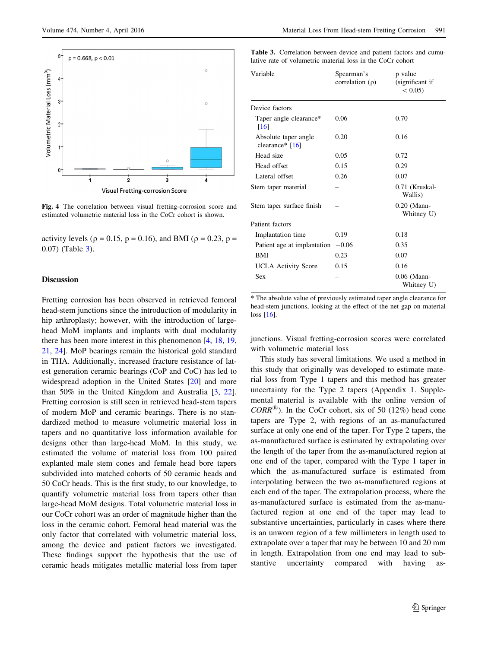<span id="page-6-0"></span>

Fig. 4 The correlation between visual fretting-corrosion score and estimated volumetric material loss in the CoCr cohort is shown.

activity levels ( $\rho = 0.15$ ,  $p = 0.16$ ), and BMI ( $\rho = 0.23$ ,  $p =$ 0.07) (Table 3).

## Discussion

Fretting corrosion has been observed in retrieved femoral head-stem junctions since the introduction of modularity in hip arthroplasty; however, with the introduction of largehead MoM implants and implants with dual modularity there has been more interest in this phenomenon [\[4](#page-9-0), [18,](#page-9-0) [19,](#page-9-0) [21](#page-9-0), [24\]](#page-9-0). MoP bearings remain the historical gold standard in THA. Additionally, increased fracture resistance of latest generation ceramic bearings (CoP and CoC) has led to widespread adoption in the United States [\[20](#page-9-0)] and more than 50% in the United Kingdom and Australia [\[3](#page-9-0), [22](#page-9-0)]. Fretting corrosion is still seen in retrieved head-stem tapers of modern MoP and ceramic bearings. There is no standardized method to measure volumetric material loss in tapers and no quantitative loss information available for designs other than large-head MoM. In this study, we estimated the volume of material loss from 100 paired explanted male stem cones and female head bore tapers subdivided into matched cohorts of 50 ceramic heads and 50 CoCr heads. This is the first study, to our knowledge, to quantify volumetric material loss from tapers other than large-head MoM designs. Total volumetric material loss in our CoCr cohort was an order of magnitude higher than the loss in the ceramic cohort. Femoral head material was the only factor that correlated with volumetric material loss, among the device and patient factors we investigated. These findings support the hypothesis that the use of ceramic heads mitigates metallic material loss from taper Table 3. Correlation between device and patient factors and cumulative rate of volumetric material loss in the CoCr cohort

| Variable                                  | Spearman's<br>correlation $(\rho)$ | p value<br>(significant if<br>$< 0.05$ ) |
|-------------------------------------------|------------------------------------|------------------------------------------|
| Device factors                            |                                    |                                          |
| Taper angle clearance*<br>[16]            | 0.06                               | 0.70                                     |
| Absolute taper angle<br>clearance* $[16]$ | 0.20                               | 0.16                                     |
| Head size                                 | 0.05                               | 0.72                                     |
| Head offset                               | 0.15                               | 0.29                                     |
| Lateral offset                            | 0.26                               | 0.07                                     |
| Stem taper material                       |                                    | 0.71 (Kruskal-<br>Wallis)                |
| Stem taper surface finish                 |                                    | $0.20$ (Mann-<br>Whitney U)              |
| Patient factors                           |                                    |                                          |
| Implantation time                         | 0.19                               | 0.18                                     |
| Patient age at implantation               | $-0.06$                            | 0.35                                     |
| <b>BMI</b>                                | 0.23                               | 0.07                                     |
| <b>UCLA</b> Activity Score                | 0.15                               | 0.16                                     |
| Sex                                       |                                    | $0.06$ (Mann-<br>Whitney U)              |

\* The absolute value of previously estimated taper angle clearance for head-stem junctions, looking at the effect of the net gap on material loss [[16](#page-9-0)].

junctions. Visual fretting-corrosion scores were correlated with volumetric material loss

This study has several limitations. We used a method in this study that originally was developed to estimate material loss from Type 1 tapers and this method has greater uncertainty for the Type 2 tapers (Appendix 1. Supplemental material is available with the online version of  $CORR^{(8)}$ ). In the CoCr cohort, six of 50 (12%) head cone tapers are Type 2, with regions of an as-manufactured surface at only one end of the taper. For Type 2 tapers, the as-manufactured surface is estimated by extrapolating over the length of the taper from the as-manufactured region at one end of the taper, compared with the Type 1 taper in which the as-manufactured surface is estimated from interpolating between the two as-manufactured regions at each end of the taper. The extrapolation process, where the as-manufactured surface is estimated from the as-manufactured region at one end of the taper may lead to substantive uncertainties, particularly in cases where there is an unworn region of a few millimeters in length used to extrapolate over a taper that may be between 10 and 20 mm in length. Extrapolation from one end may lead to substantive uncertainty compared with having as-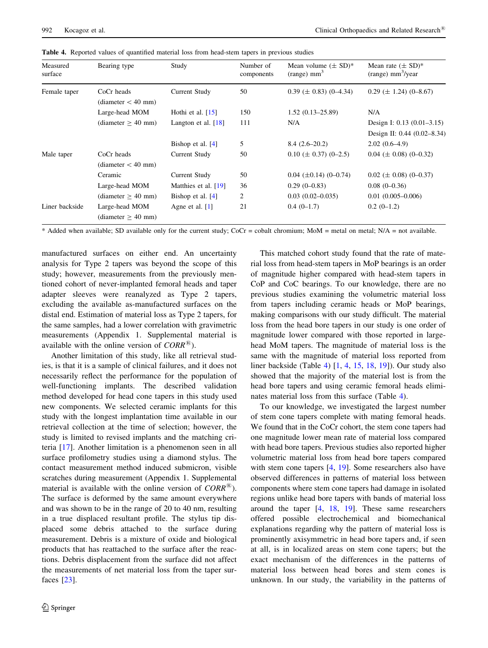| Measured<br>surface | Bearing type                         | Study                 | Number of<br>components | Mean volume $(\pm SD)^*$<br>$(range)$ mm <sup>3</sup> | Mean rate $(\pm SD)^*$<br>$(range)$ mm <sup>3</sup> /year |
|---------------------|--------------------------------------|-----------------------|-------------------------|-------------------------------------------------------|-----------------------------------------------------------|
| Female taper        | CoCr heads<br>$(diameter < 40$ mm)   | Current Study         | 50                      | $0.39 \ (\pm 0.83) \ (0-4.34)$                        | $0.29 \ (\pm 1.24) \ (0 - 8.67)$                          |
|                     | Large-head MOM                       | Hothi et al. $[15]$   | 150                     | $1.52(0.13-25.89)$                                    | N/A                                                       |
|                     | (diameter > 40 mm)                   | Langton et al. $[18]$ | 111                     | N/A                                                   | Design I: $0.13$ (0.01–3.15)                              |
|                     |                                      |                       |                         |                                                       | Design II: 0.44 (0.02–8.34)                               |
|                     |                                      | Bishop et al. $[4]$   | 5                       | $8.4(2.6-20.2)$                                       | $2.02(0.6-4.9)$                                           |
| Male taper          | CoCr heads<br>$(diameter < 40$ mm)   | Current Study         | 50                      | $0.10 \ (\pm 0.37) \ (0-2.5)$                         | $0.04 \ (\pm 0.08) \ (0-0.32)$                            |
|                     | Ceramic                              | Current Study         | 50                      | $0.04$ ( $\pm 0.14$ ) (0-0.74)                        | $0.02 \ (\pm 0.08) \ (0-0.37)$                            |
|                     | Large-head MOM                       | Matthies et al. [19]  | 36                      | $0.29(0-0.83)$                                        | $0.08(0-0.36)$                                            |
|                     | (diameter > 40 mm)                   | Bishop et al. $[4]$   | 2                       | $0.03(0.02 - 0.035)$                                  | $0.01(0.005 - 0.006)$                                     |
| Liner backside      | Large-head MOM<br>(diameter > 40 mm) | Agne et al. $[1]$     | 21                      | $0.4(0-1.7)$                                          | $0.2(0-1.2)$                                              |

Table 4. Reported values of quantified material loss from head-stem tapers in previous studies

\* Added when available; SD available only for the current study; CoCr = cobalt chromium; MoM = metal on metal; N/A = not available.

manufactured surfaces on either end. An uncertainty analysis for Type 2 tapers was beyond the scope of this study; however, measurements from the previously mentioned cohort of never-implanted femoral heads and taper adapter sleeves were reanalyzed as Type 2 tapers, excluding the available as-manufactured surfaces on the distal end. Estimation of material loss as Type 2 tapers, for the same samples, had a lower correlation with gravimetric measurements (Appendix 1. Supplemental material is available with the online version of  $CORR^{\times}$ ).

Another limitation of this study, like all retrieval studies, is that it is a sample of clinical failures, and it does not necessarily reflect the performance for the population of well-functioning implants. The described validation method developed for head cone tapers in this study used new components. We selected ceramic implants for this study with the longest implantation time available in our retrieval collection at the time of selection; however, the study is limited to revised implants and the matching criteria [[17\]](#page-9-0). Another limitation is a phenomenon seen in all surface profilometry studies using a diamond stylus. The contact measurement method induced submicron, visible scratches during measurement (Appendix 1. Supplemental material is available with the online version of  $CORR^{\times}$ ). The surface is deformed by the same amount everywhere and was shown to be in the range of 20 to 40 nm, resulting in a true displaced resultant profile. The stylus tip displaced some debris attached to the surface during measurement. Debris is a mixture of oxide and biological products that has reattached to the surface after the reactions. Debris displacement from the surface did not affect the measurements of net material loss from the taper surfaces [\[23](#page-9-0)].

This matched cohort study found that the rate of material loss from head-stem tapers in MoP bearings is an order of magnitude higher compared with head-stem tapers in CoP and CoC bearings. To our knowledge, there are no previous studies examining the volumetric material loss from tapers including ceramic heads or MoP bearings, making comparisons with our study difficult. The material loss from the head bore tapers in our study is one order of magnitude lower compared with those reported in largehead MoM tapers. The magnitude of material loss is the same with the magnitude of material loss reported from liner backside (Table 4) [\[1](#page-8-0), [4,](#page-9-0) [15](#page-9-0), [18,](#page-9-0) [19\]](#page-9-0)). Our study also showed that the majority of the material lost is from the head bore tapers and using ceramic femoral heads eliminates material loss from this surface (Table 4).

To our knowledge, we investigated the largest number of stem cone tapers complete with mating femoral heads. We found that in the CoCr cohort, the stem cone tapers had one magnitude lower mean rate of material loss compared with head bore tapers. Previous studies also reported higher volumetric material loss from head bore tapers compared with stem cone tapers [[4,](#page-9-0) [19\]](#page-9-0). Some researchers also have observed differences in patterns of material loss between components where stem cone tapers had damage in isolated regions unlike head bore tapers with bands of material loss around the taper [\[4](#page-9-0), [18,](#page-9-0) [19](#page-9-0)]. These same researchers offered possible electrochemical and biomechanical explanations regarding why the pattern of material loss is prominently axisymmetric in head bore tapers and, if seen at all, is in localized areas on stem cone tapers; but the exact mechanism of the differences in the patterns of material loss between head bores and stem cones is unknown. In our study, the variability in the patterns of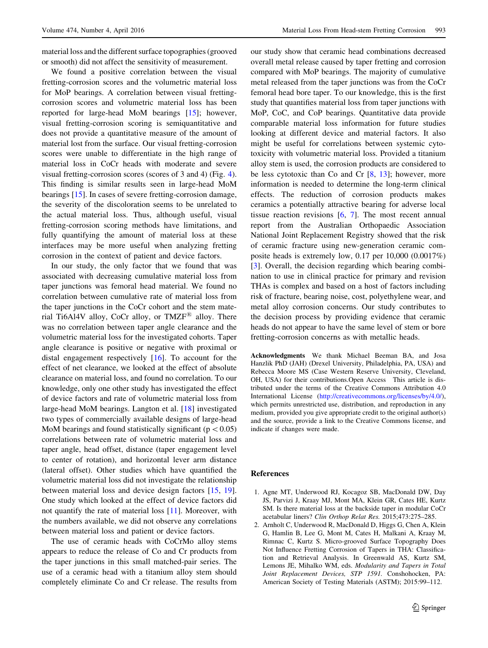We found a positive correlation between the visual fretting-corrosion scores and the volumetric material loss for MoP bearings. A correlation between visual frettingcorrosion scores and volumetric material loss has been reported for large-head MoM bearings [[15\]](#page-9-0); however, visual fretting-corrosion scoring is semiquantitative and does not provide a quantitative measure of the amount of material lost from the surface. Our visual fretting-corrosion scores were unable to differentiate in the high range of material loss in CoCr heads with moderate and severe visual fretting-corrosion scores (scores of 3 and 4) (Fig. [4](#page-6-0)). This finding is similar results seen in large-head MoM bearings [[15\]](#page-9-0). In cases of severe fretting-corrosion damage, the severity of the discoloration seems to be unrelated to the actual material loss. Thus, although useful, visual fretting-corrosion scoring methods have limitations, and fully quantifying the amount of material loss at these interfaces may be more useful when analyzing fretting corrosion in the context of patient and device factors.

In our study, the only factor that we found that was associated with decreasing cumulative material loss from taper junctions was femoral head material. We found no correlation between cumulative rate of material loss from the taper junctions in the CoCr cohort and the stem material Ti6Al4V alloy, CoCr alloy, or TMZF $\textsuperscript{1B}$  alloy. There was no correlation between taper angle clearance and the volumetric material loss for the investigated cohorts. Taper angle clearance is positive or negative with proximal or distal engagement respectively [[16\]](#page-9-0). To account for the effect of net clearance, we looked at the effect of absolute clearance on material loss, and found no correlation. To our knowledge, only one other study has investigated the effect of device factors and rate of volumetric material loss from large-head MoM bearings. Langton et al. [\[18](#page-9-0)] investigated two types of commercially available designs of large-head MoM bearings and found statistically significant ( $p < 0.05$ ) correlations between rate of volumetric material loss and taper angle, head offset, distance (taper engagement level to center of rotation), and horizontal lever arm distance (lateral offset). Other studies which have quantified the volumetric material loss did not investigate the relationship between material loss and device design factors [\[15](#page-9-0), [19](#page-9-0)]. One study which looked at the effect of device factors did not quantify the rate of material loss [\[11](#page-9-0)]. Moreover, with the numbers available, we did not observe any correlations between material loss and patient or device factors.

The use of ceramic heads with CoCrMo alloy stems appears to reduce the release of Co and Cr products from the taper junctions in this small matched-pair series. The use of a ceramic head with a titanium alloy stem should completely eliminate Co and Cr release. The results from

<span id="page-8-0"></span>Volume 474, Number 4, April 2016 Material Loss From Head-stem Fretting Corrosion 993

our study show that ceramic head combinations decreased overall metal release caused by taper fretting and corrosion compared with MoP bearings. The majority of cumulative metal released from the taper junctions was from the CoCr femoral head bore taper. To our knowledge, this is the first study that quantifies material loss from taper junctions with MoP, CoC, and CoP bearings. Quantitative data provide comparable material loss information for future studies looking at different device and material factors. It also might be useful for correlations between systemic cytotoxicity with volumetric material loss. Provided a titanium alloy stem is used, the corrosion products are considered to be less cytotoxic than Co and Cr  $[8, 13]$  $[8, 13]$  $[8, 13]$  $[8, 13]$ ; however, more information is needed to determine the long-term clinical effects. The reduction of corrosion products makes ceramics a potentially attractive bearing for adverse local tissue reaction revisions [\[6](#page-9-0), [7\]](#page-9-0). The most recent annual report from the Australian Orthopaedic Association National Joint Replacement Registry showed that the risk of ceramic fracture using new-generation ceramic composite heads is extremely low, 0.17 per 10,000 (0.0017%) [\[3](#page-9-0)]. Overall, the decision regarding which bearing combination to use in clinical practice for primary and revision THAs is complex and based on a host of factors including risk of fracture, bearing noise, cost, polyethylene wear, and metal alloy corrosion concerns. Our study contributes to the decision process by providing evidence that ceramic heads do not appear to have the same level of stem or bore fretting-corrosion concerns as with metallic heads.

Acknowledgments We thank Michael Beeman BA, and Josa Hanzlik PhD (JAH) (Drexel University, Philadelphia, PA, USA) and Rebecca Moore MS (Case Western Reserve University, Cleveland, OH, USA) for their contributions.Open Access This article is distributed under the terms of the Creative Commons Attribution 4.0 International License [\(http://creativecommons.org/licenses/by/4.0/](http://creativecommons.org/licenses/by/4.0/)), which permits unrestricted use, distribution, and reproduction in any medium, provided you give appropriate credit to the original author(s) and the source, provide a link to the Creative Commons license, and indicate if changes were made.

# References

- 1. Agne MT, Underwood RJ, Kocagoz SB, MacDonald DW, Day JS, Parvizi J, Kraay MJ, Mont MA, Klein GR, Cates HE, Kurtz SM. Is there material loss at the backside taper in modular CoCr acetabular liners? Clin Orthop Relat Res. 2015;473:275–285.
- 2. Arnholt C, Underwood R, MacDonald D, Higgs G, Chen A, Klein G, Hamlin B, Lee G, Mont M, Cates H, Malkani A, Kraay M, Rimnac C, Kurtz S. Micro-grooved Surface Topography Does Not Influence Fretting Corrosion of Tapers in THA: Classification and Retrieval Analysis. In Greenwald AS, Kurtz SM, Lemons JE, Mihalko WM, eds. Modularity and Tapers in Total Joint Replacement Devices, STP 1591. Conshohocken, PA: American Society of Testing Materials (ASTM); 2015:99–112.